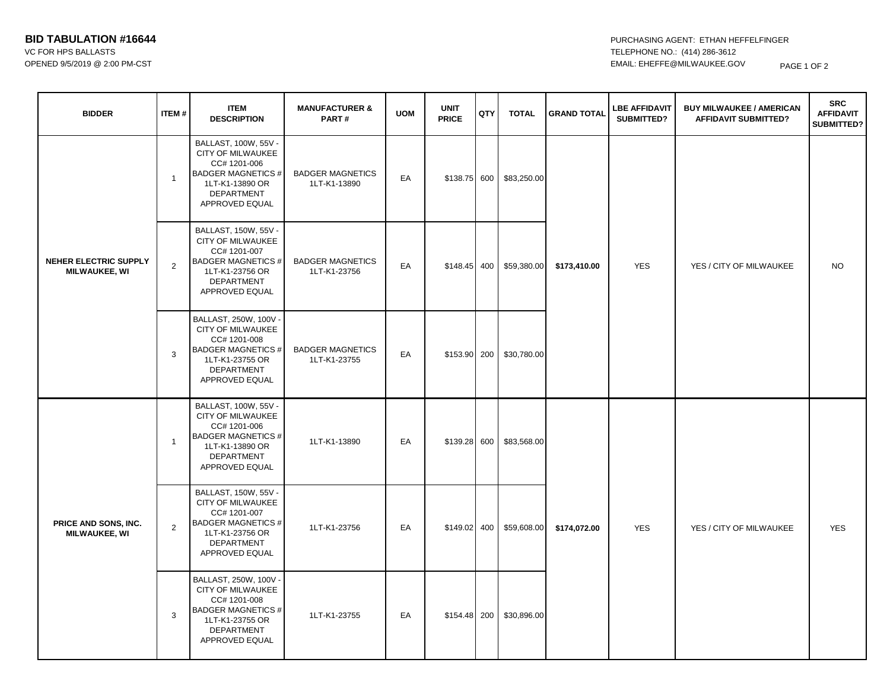## **BID TABULATION #16644 PURCHASING AGENT: ETHAN HEFFELFINGER**

| <b>BIDDER</b>                                        | <b>ITEM#</b>   | <b>ITEM</b><br><b>DESCRIPTION</b>                                                                                                                | <b>MANUFACTURER &amp;</b><br>PART#      | <b>UOM</b> | <b>UNIT</b><br><b>PRICE</b> | QTY | <b>TOTAL</b> | <b>GRAND TOTAL</b> | <b>LBE AFFIDAVIT</b><br>SUBMITTED? | <b>BUY MILWAUKEE / AMERICAN</b><br><b>AFFIDAVIT SUBMITTED?</b> | <b>SRC</b><br><b>AFFIDAVIT</b><br>SUBMITTED? |
|------------------------------------------------------|----------------|--------------------------------------------------------------------------------------------------------------------------------------------------|-----------------------------------------|------------|-----------------------------|-----|--------------|--------------------|------------------------------------|----------------------------------------------------------------|----------------------------------------------|
| <b>NEHER ELECTRIC SUPPLY</b><br><b>MILWAUKEE, WI</b> | $\mathbf{1}$   | BALLAST, 100W, 55V -<br>CITY OF MILWAUKEE<br>CC# 1201-006<br><b>BADGER MAGNETICS #</b><br>1LT-K1-13890 OR<br>DEPARTMENT<br>APPROVED EQUAL        | <b>BADGER MAGNETICS</b><br>1LT-K1-13890 | EA         | \$138.75 600                |     | \$83,250.00  | \$173,410.00       | <b>YES</b>                         | YES / CITY OF MILWAUKEE                                        | <b>NO</b>                                    |
|                                                      | $\sqrt{2}$     | BALLAST, 150W, 55V -<br><b>CITY OF MILWAUKEE</b><br>CC# 1201-007<br><b>BADGER MAGNETICS #</b><br>1LT-K1-23756 OR<br>DEPARTMENT<br>APPROVED EQUAL | <b>BADGER MAGNETICS</b><br>1LT-K1-23756 | EA         | \$148.45 400                |     | \$59,380.00  |                    |                                    |                                                                |                                              |
|                                                      | 3              | BALLAST, 250W, 100V<br>CITY OF MILWAUKEE<br>CC# 1201-008<br><b>BADGER MAGNETICS #</b><br>1LT-K1-23755 OR<br><b>DEPARTMENT</b><br>APPROVED EQUAL  | <b>BADGER MAGNETICS</b><br>1LT-K1-23755 | EA         | \$153.90 200                |     | \$30,780.00  |                    |                                    |                                                                |                                              |
| PRICE AND SONS, INC.<br><b>MILWAUKEE, WI</b>         | $\mathbf{1}$   | BALLAST, 100W, 55V -<br>CITY OF MILWAUKEE<br>CC# 1201-006<br><b>BADGER MAGNETICS #</b><br>1LT-K1-13890 OR<br>DEPARTMENT<br>APPROVED EQUAL        | 1LT-K1-13890                            | EA         | \$139.28 600                |     | \$83,568.00  | \$174,072.00       | <b>YES</b>                         | YES / CITY OF MILWAUKEE                                        | <b>YES</b>                                   |
|                                                      | $\overline{2}$ | BALLAST, 150W, 55V -<br>CITY OF MILWAUKEE<br>CC# 1201-007<br><b>BADGER MAGNETICS #</b><br>1LT-K1-23756 OR<br>DEPARTMENT<br>APPROVED EQUAL        | 1LT-K1-23756                            | EA         | \$149.02 400                |     | \$59,608.00  |                    |                                    |                                                                |                                              |
|                                                      | 3              | BALLAST, 250W, 100V -<br>CITY OF MILWAUKEE<br>CC# 1201-008<br><b>BADGER MAGNETICS #</b><br>1LT-K1-23755 OR<br>DEPARTMENT<br>APPROVED EQUAL       | 1LT-K1-23755                            | EA         | \$154.48 200                |     | \$30,896.00  |                    |                                    |                                                                |                                              |